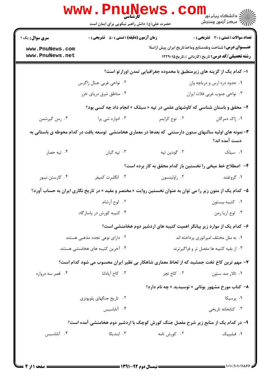| <b>سری سوال :</b> یک ۱ | <b>زمان آزمون (دقیقه) : تستی : 50 ٪ تشریحی : 0</b><br>تعداد سوالات : تستي : 30 ٪ تشريحي : 0                 |                                                                              |                                                          |  |
|------------------------|-------------------------------------------------------------------------------------------------------------|------------------------------------------------------------------------------|----------------------------------------------------------|--|
| www.PnuNews.com        |                                                                                                             | <b>عنـــوان درس:</b> شناخت ونقدمنابع وماخذتاريخ ايران پيش ازاسلا             |                                                          |  |
| www.PnuNews.net        |                                                                                                             |                                                                              | <b>رشته تحصیلی/کد درس:</b> تاریخ (کاردانی )،تاریخ۱۲۲۹۰۱۵ |  |
|                        |                                                                                                             | ا– کدام یک از گزینه های زیرمنطبق با محدوده جغرافیایی تمدن اورارتو است؟       |                                                          |  |
|                        | ۰۲ نواحی غربی جبال زاگرس                                                                                    | ۰۱ حدود دره ارس و دریاچه وان                                                 |                                                          |  |
|                        | ۰۴ مناطق شرق دریای خزر                                                                                      |                                                                              | ۰۳ نواحی جنوب غربی فلات ایران                            |  |
|                        |                                                                                                             | ۲- محقق و باستان شناسی که کاوشهای علمی در تپه « سیلک » انجام داد چه کسی بود؟ |                                                          |  |
| ۰۴ رمن گیرشمن          | ۰۳ ادوارد شي يرا                                                                                            | ۰۲ نوح کرايمر                                                                | ۰۱ ژاک دمرگان                                            |  |
|                        | ۳- نمونه های اولیه سالنهای ستون دارسنتی که بعدها در معماری هخامنشی  توسعه یافت در کدام محوطه ی باستانی به   |                                                                              | دست آمده اند؟                                            |  |
| ۰۴ تپه حصار            | ۰۳ تپه گيان                                                                                                 | ۰۲ گودين تپه                                                                 | ۰۱ سیلک                                                  |  |
|                        |                                                                                                             | ۴– اصطلاح خط میخی را نخستین بار کدام محقق به کار برده است؟                   |                                                          |  |
| ۰۴ کارستن نیبور        | ۰۳ انگلبرت کمپفر                                                                                            | ۰۲ راولينسون                                                                 | ۰۱ گروتفند                                               |  |
|                        | ۵– کدام یک از متون زیر را می توان به عنوان نخستین روایت « مختصر و مفید » در تاریخ نگاری ایران به حساب آورد؟ |                                                                              |                                                          |  |
|                        | ۰۲ لوح آرشام                                                                                                |                                                                              | ٠١ كتيبه بيستون                                          |  |
|                        | ۰۴ کتیبه کورش در پاسارگاد                                                                                   |                                                                              | ۰۳ لوح آريا رمن                                          |  |
|                        |                                                                                                             | ۶– کدام یک از موارد زیر بیانگر اهمیت کتیبه های اردشیر دوم هخامنشی است؟       |                                                          |  |
|                        | ۰۲ دارای نوعی تجدد مذهبی هستند                                                                              | ۰۱ به ملل مختلف امپراتوری پرداخته اند                                        |                                                          |  |
|                        | ۰۴ آخرین کتیبه های هخامنشی هستند                                                                            | ۰۳ از بقیه کتیبه ها مفصل تر و فراگیرترند                                     |                                                          |  |
|                        | ۷– مهم ترین کاخ تخت جمشید که از لحاظ معماری شاهکار بی نظیر ایران محسوب می شود کدام است؟                     |                                                                              |                                                          |  |
| ۰۴ قصر سه دروازه       | ۰۳ کاخ آپادانا                                                                                              | ۰۲ کاخ تچر                                                                   | ۰۱ تالار صد ستون                                         |  |
|                        |                                                                                                             | <b>۸- کتاب مورخ مشهور یونانی « توسیدید » چه نام دارد؟</b>                    |                                                          |  |
|                        | ۰۲ تاریخ جنگهای پلوپونزی                                                                                    |                                                                              | ۰۱ پرسیکا                                                |  |
|                        | ۰۴ آناباسيس                                                                                                 |                                                                              | ۰۳ کتابخانه تاریخی                                       |  |
|                        | ۹- در کدام یک از منابع زیر شرح مفصل جنگ کورش کوچک با اردشیر دوم هخامنشی آمده است؟                           |                                                                              |                                                          |  |
| ۰۴ آناباسیس            | ۰۳ ایندیکا                                                                                                  | ۰۲ کورش تامه                                                                 | ٠١ فيليپيک                                               |  |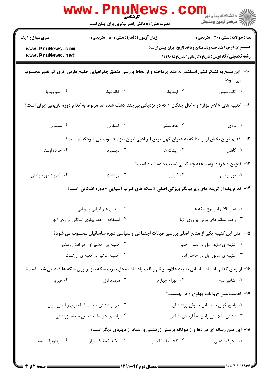| <b>WWW</b>                                                                                | <b>کارشناسی</b><br>حضرت علی(ع): دانش راهبر نیکویی برای ایمان است     |                                                                                                                 | ر دانشڪاه پيام نور ■<br>// مرکز آزمون وسنڊش              |  |
|-------------------------------------------------------------------------------------------|----------------------------------------------------------------------|-----------------------------------------------------------------------------------------------------------------|----------------------------------------------------------|--|
| <b>سری سوال : ۱ یک</b>                                                                    | <b>زمان آزمون (دقیقه) : تستی : 50 ٪ تشریحی : 0</b>                   |                                                                                                                 | <b>تعداد سوالات : تستی : 30 ٪ تشریحی : 0</b>             |  |
| www.PnuNews.com                                                                           |                                                                      | <b>عنـــوان درس:</b> شناخت ونقدمنابع وماخذتاريخ ايران پيش ازاسلا                                                |                                                          |  |
| www.PnuNews.net                                                                           |                                                                      |                                                                                                                 | <b>رشته تحصیلی/کد درس:</b> تاریخ (کاردانی )،تاریخ۱۲۲۹۰۱۵ |  |
|                                                                                           |                                                                      | ∙ا− ً این منبع به لشکرکشی اسکندر به هند پرداخته و از لحاظ بررسی منطق جغرافیایی خلیج فارس اثری کم نظیر محسوب     | می شود؟                                                  |  |
| ۰۴ سیروپدیا                                                                               | ۰۳ خالدائیکا                                                         | ۰۲ ایندیکا                                                                                                      | ٠١ كاتاباسيس                                             |  |
|                                                                                           |                                                                      | 11- کتیبه های « لاخ مزار» و « کال جنگال » که در نزدیکی بیرجند کشف شده اند مربوط به کدام دوره تاریخی ایران است؟  |                                                          |  |
| ۰۴ ساسانی                                                                                 | ۰۳ اشکانی                                                            | ۰۲ هخامنشی                                                                                                      | ۰۱ مادی                                                  |  |
| ۱۲-۔ قدیم ترین بخش از اوستا که به عنوان کهن ترین اثر ادبی ایران نیز محسوب می شودکدام است؟ |                                                                      |                                                                                                                 |                                                          |  |
| ۰۴ خرده اوستا                                                                             | ۰۳ ویسپرد                                                            | ۰۲ یشت ها                                                                                                       | ۰۱ گاهان                                                 |  |
|                                                                                           |                                                                      | ۱۳- تدوین « خرده اوستا » به چه کسی نسبت داده شده است؟                                                           |                                                          |  |
| ۰۴ آذرپاد مهرسپندان                                                                       | ۰۳ زرتشت                                                             | ۰۲ کرتیر                                                                                                        | ۰۱ مهر نرسی                                              |  |
|                                                                                           |                                                                      | ۱۴- کدام یک از گزینه های زیر بیانگر ویژگی اصلی « سکه های ضرب آسیایی » دوره اشکانی  است؟                         |                                                          |  |
|                                                                                           | ۰۲ تلفیق هنر ایرانی و یونانی                                         |                                                                                                                 | ۰۱ عیار بالای این نوع سکه ها                             |  |
|                                                                                           | ۰۴ استفاده از خط پهلوی اشکانی بر روی آنها                            | ٠٣ وجود نشانه های پارتی بر روی آنها                                                                             |                                                          |  |
|                                                                                           |                                                                      | ۱۵– ً متن این کتیبه یکی از منابع اصلی بررسی طبقات اجتماعی و سیاسی دوره ساسانیان محسوب می شود؟                   |                                                          |  |
|                                                                                           | ٠١ كتيبه ي شاپور اول در نقش رجب<br>۰۲ کتیبه ی اردشیر اول در نقش رستم |                                                                                                                 |                                                          |  |
| ۰۴ کتیبه کرتیر در کعبه ی زرتشت                                                            |                                                                      | ۰۳ کتیبه ی شاپور اول در حاجی آباد                                                                               |                                                          |  |
|                                                                                           |                                                                      | ۱۶– از زمان کدام پادشاه ساسانی به بعد علاوه بر نام و لقب پادشاه ، محل ضرب سکه نیز بر روی سکه ها قید می شده است؟ |                                                          |  |
| ۰۴ فیروز                                                                                  | ۰۳ هرمزد اول                                                         | ۲ . بهرام چهارم                                                                                                 | ۰۱ شاپور دوم                                             |  |
|                                                                                           |                                                                      |                                                                                                                 | ۱۷- اهمیت متن «روایات پهلوی » در چیست؟                   |  |
|                                                                                           | ۰۲ در بر داشتن مطالب اساطیری و آیینی ایران                           |                                                                                                                 | ٠١. پاسخ گويي به مسايل حقوقي زرتشتيان                    |  |
|                                                                                           | ۰۴ ارایه ی شرایط اجتماعی جامعه زرتشتی                                |                                                                                                                 | ۰۳ داشتن اطلاعاتی راجع به آفرینش بنیادی                  |  |
| ۱۸– این متن رساله ای در دفاع از دوگانه پرستی زرتشتی و انتقاد از دینهای دیگر است؟          |                                                                      |                                                                                                                 |                                                          |  |
| ۰۴ ارداویراف نامه                                                                         | ۰۳ شکند گمانیک وزار                                                  | ۲. گجستک ابالیش                                                                                                 | ۰۱ وجرکرد دینی                                           |  |
|                                                                                           |                                                                      |                                                                                                                 |                                                          |  |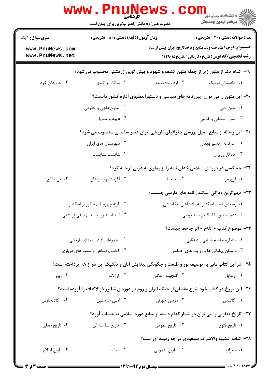| <b>WWW</b> ،                                                                    | کارشناسی<br>حضرت علی(ع): دانش راهبر نیکویی برای ایمان است |                                                                                                 | د دانشگاه پيام نو <mark>ر</mark><br>رآ مرڪز آزمون وسنڊش      |  |  |
|---------------------------------------------------------------------------------|-----------------------------------------------------------|-------------------------------------------------------------------------------------------------|--------------------------------------------------------------|--|--|
| <b>سری سوال :</b> ۱ یک                                                          | <b>زمان آزمون (دقیقه) : تستی : 50 ٪ تشریحی : 0</b>        |                                                                                                 | تعداد سوالات : تستى : 30 - تشريحي : 0                        |  |  |
| www.PnuNews.com<br>www.PnuNews.net                                              |                                                           | <b>عنـــوان درس:</b> شناخت ونقدمنابع وماخذتاريخ ايران پيش ازاسلا                                | <b>رشته تحصیلی/کد درس:</b> تاریخ (کاردانی )،تاریخ۹۰۱۵ ۱۲۲۹۰۱ |  |  |
| ۱۹- کدام یک از متون زیر از جمله متون کشف و شهود و پیش گویی زرتشتی محسوب می شود؟ |                                                           |                                                                                                 |                                                              |  |  |
| ۰۴ جاویدان خرد                                                                  | ۰۳ يادگار بزرگمهر                                         | ۰۲ ارداویراف نامه                                                                               | ۰۱ دادستان دینیک                                             |  |  |
|                                                                                 |                                                           | +۲- این متون را می توان آیین نامه های سیاسی و دستورالعملهای اداره کشور دانست؟                   |                                                              |  |  |
| ۰۲ متون فقهی و حقوقی                                                            |                                                           |                                                                                                 | ۰۱ متون ادبی                                                 |  |  |
|                                                                                 | ۰۴ عهود و وصايا                                           |                                                                                                 | ۰۳ متون فلسفی و کلامی                                        |  |  |
|                                                                                 |                                                           | <b>۲۱</b> – این رساله از منابع اصیل بررسی جغرافیای تاریخی ایران عصر ساسانی محسوب می شود؟        |                                                              |  |  |
|                                                                                 | ۰۲ شهرستان های ایران                                      |                                                                                                 | ٠١ كارنامه اردشير بابكان                                     |  |  |
|                                                                                 | ۰۴ شایست نشایست                                           |                                                                                                 | ۰۳ يادگار زريران                                             |  |  |
|                                                                                 |                                                           | ۲۲- چه کسی در دوره ی اسلامی خدای نامه را از پهلوی به عربی ترجمه کرد؟                            |                                                              |  |  |
| ۰۴ ابن مقفع                                                                     | ۰۳ آذرباد مهراسپندان                                      | ۰۲ جاحظ                                                                                         | ۱. فرخ مرد                                                   |  |  |
|                                                                                 |                                                           | ۲۳- مهم ترین ویژگی اسکندر نامه های فارسی چیست؟                                                  |                                                              |  |  |
|                                                                                 | ۰۲ ارئه چهره ای منفور از اسکندر                           | ۰۱ رساندن نسب اسکندر به پادشاهان هخامنشی                                                        |                                                              |  |  |
| ۰۴ استناد به روایت های دینی زرتشتی                                              |                                                           |                                                                                                 | ۰۳ عدم تطبيق با اسكندر نامه يوناني                           |  |  |
|                                                                                 |                                                           |                                                                                                 | ٢۴− موضوع كتاب « التاج » اثر جاحظ چيست؟                      |  |  |
| ۰۲ مجموعای از داستانهای تاریخی                                                  |                                                           |                                                                                                 | ٠١ مناظره جامعه شباني و دهقاني                               |  |  |
| ۰۴ آداب پادشاهی و سنت های درباری<br>۰۳ داستان پهلوانی ها و روایت های حماسی      |                                                           |                                                                                                 |                                                              |  |  |
|                                                                                 |                                                           | ۲۵– در این کتاب مانی به توصیف نور و ظلمت و چگونگی پیدایش آنان و تفکیک این دو از هم پرداخته است؟ |                                                              |  |  |
| ۰۴ زبور                                                                         | ۰۳ ارژنگ                                                  | ۰۲ گنجینه زندگان                                                                                | ۰۱ رسایل                                                     |  |  |
|                                                                                 |                                                           | ۲۶- این مورخ در کتاب خود شرح مفصلی از جنگ ایران و روم در دوره ی شاپور ذوالاکتاف را آورده است؟   |                                                              |  |  |
| ۰۴ آگاتانجلوس                                                                   | ۰۳ آمین مارسلین                                           | ۰۲ موسی خورنی                                                                                   | ۰۱ آگاثیاس                                                   |  |  |
|                                                                                 |                                                           | ۲۷- تاریخ یعقوبی را می توان در شمار کدام دسته از منابع دوره اسلامی به حساب آورد؟                |                                                              |  |  |
| ۰۴ تاریخ محلی                                                                   | ۰۳ تاریخ سلسله ای                                         | ۰۲ تاریخ عمومی                                                                                  | ۰۱ تاريخ فتوح                                                |  |  |
|                                                                                 |                                                           | ۲۸– کتاب التنبیه والاشراف مسعودی در چه زمینه ای است؟                                            |                                                              |  |  |
| ۰۴ تاريخ اسلام                                                                  | ۰۳ سیاست                                                  | ۰۲ تاریخ عمومی                                                                                  | ۰۱ جغرافیا                                                   |  |  |
|                                                                                 |                                                           |                                                                                                 |                                                              |  |  |